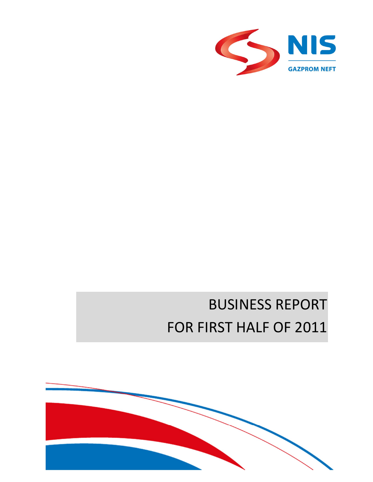

# BUSINESS REPORT FOR FIRST HALF OF 2011

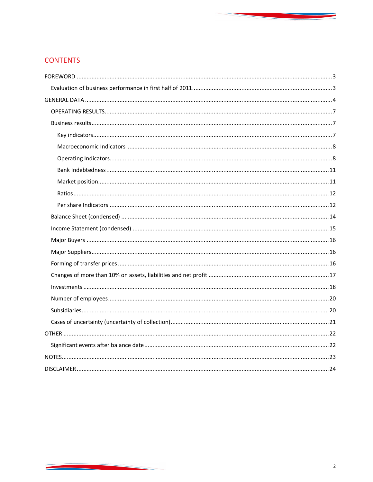# **CONTENTS**

<u> Andrew Maria (1976)</u>

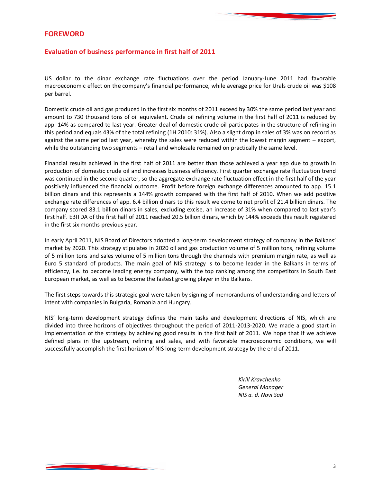# **FOREWORD**

# **Evaluation of business performance in first half of 2011**

US dollar to the dinar exchange rate fluctuations over the period January-June 2011 had favorable macroeconomic effect on the company's financial performance, while average price for Urals crude oil was \$108 per barrel.

Domestic crude oil and gas produced in the first six months of 2011 exceed by 30% the same period last year and amount to 730 thousand tons of oil equivalent. Crude oil refining volume in the first half of 2011 is reduced by app. 14% as compared to last year. Greater deal of domestic crude oil participates in the structure of refining in this period and equals 43% of the total refining (1H 2010: 31%). Also a slight drop in sales of 3% was on record as against the same period last year, whereby the sales were reduced within the lowest margin segment – export, while the outstanding two segments – retail and wholesale remained on practically the same level.

Financial results achieved in the first half of 2011 are better than those achieved a year ago due to growth in production of domestic crude oil and increases business efficiency. First quarter exchange rate fluctuation trend was continued in the second quarter, so the aggregate exchange rate fluctuation effect in the first half of the year positively influenced the financial outcome. Profit before foreign exchange differences amounted to app. 15.1 billion dinars and this represents a 144% growth compared with the first half of 2010. When we add positive exchange rate differences of app. 6.4 billion dinars to this result we come to net profit of 21.4 billion dinars. The company scored 83.1 billion dinars in sales, excluding excise, an increase of 31% when compared to last year's first half. EBITDA of the first half of 2011 reached 20.5 billion dinars, which by 144% exceeds this result registered in the first six months previous year.

In early April 2011, NIS Board of Directors adopted a long-term development strategy of company in the Balkans' market by 2020. This strategy stipulates in 2020 oil and gas production volume of 5 million tons, refining volume of 5 million tons and sales volume of 5 million tons through the channels with premium margin rate, as well as Euro 5 standard of products. The main goal of NIS strategy is to become leader in the Balkans in terms of efficiency, i.e. to become leading energy company, with the top ranking among the competitors in South East European market, as well as to become the fastest growing player in the Balkans.

The first steps towards this strategic goal were taken by signing of memorandums of understanding and letters of intent with companies in Bulgaria, Romania and Hungary.

NIS' long-term development strategy defines the main tasks and development directions of NIS, which are divided into three horizons of objectives throughout the period of 2011-2013-2020. We made a good start in implementation of the strategy by achieving good results in the first half of 2011. We hope that if we achieve defined plans in the upstream, refining and sales, and with favorable macroeconomic conditions, we will successfully accomplish the first horizon of NIS long-term development strategy by the end of 2011.

> *Kirill Kravchenko General Manager NIS a. d. Novi Sad*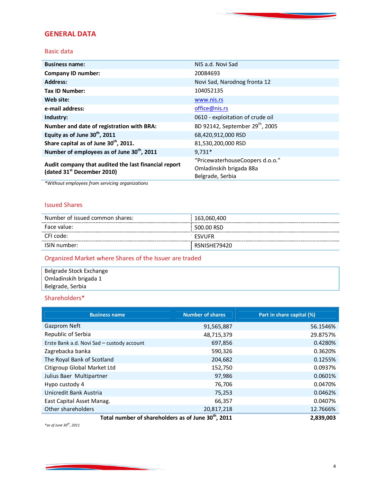# **GENERAL DATA**

## Basic data

| <b>Business name:</b>                                                                          | NIS a.d. Novi Sad                                                              |
|------------------------------------------------------------------------------------------------|--------------------------------------------------------------------------------|
| <b>Company ID number:</b>                                                                      | 20084693                                                                       |
| <b>Address:</b>                                                                                | Novi Sad, Narodnog fronta 12                                                   |
| <b>Tax ID Number:</b>                                                                          | 104052135                                                                      |
| Web site:                                                                                      | www.nis.rs                                                                     |
| e-mail address:                                                                                | office@nis.rs                                                                  |
| Industry:                                                                                      | 0610 - exploitation of crude oil                                               |
| Number and date of registration with BRA:                                                      | BD 92142, September 29 <sup>th</sup> , 2005                                    |
| Equity as of June 30 <sup>th</sup> , 2011                                                      | 68,420,912,000 RSD                                                             |
| Share capital as of June 30 <sup>th</sup> , 2011.                                              | 81,530,200,000 RSD                                                             |
| Number of employees as of June 30 <sup>th</sup> , 2011                                         | $9.731*$                                                                       |
| Audit company that audited the last financial report<br>(dated 31 <sup>st</sup> December 2010) | "PricewaterhouseCoopers d.o.o."<br>Omladinskih brigada 88a<br>Belgrade, Serbia |

*\*Without employees from servicing organizations*

# Issued Shares

| Number of issued common shares: | 163,060,400   |
|---------------------------------|---------------|
| Face value:                     | 500.00 RSD    |
| CFI code:                       | <b>FSVUFR</b> |
| ISIN number:                    | RSNISHE79420  |

# Organized Market where Shares of the Issuer are traded

| Belgrade Stock Exchange |  |
|-------------------------|--|
| Omladinskih brigada 1   |  |
| Belgrade, Serbia        |  |

# Shareholders\*

| <b>Business name</b>                                            | <b>Number of shares</b> | Part in share capital (%) |
|-----------------------------------------------------------------|-------------------------|---------------------------|
| Gazprom Neft                                                    | 91,565,887              | 56.1546%                  |
| Republic of Serbia                                              | 48,715,379              | 29.8757%                  |
| Erste Bank a.d. Novi Sad - custody account                      | 697,856                 | 0.4280%                   |
| Zagrebacka banka                                                | 590,326                 | 0.3620%                   |
| The Royal Bank of Scotland                                      | 204,682                 | 0.1255%                   |
| Citigroup Global Market Ltd                                     | 152,750                 | 0.0937%                   |
| Julius Baer Multipartner                                        | 97,986                  | 0.0601%                   |
| Hypo custody 4                                                  | 76,706                  | 0.0470%                   |
| Unicredit Bank Austria                                          | 75,253                  | 0.0462%                   |
| East Capital Asset Manag.                                       | 66,357                  | 0.0407%                   |
| Other shareholders                                              | 20,817,218              | 12.7666%                  |
| Total number of shareholders as of June 30 <sup>th</sup> , 2011 |                         | 2,839,003                 |

*\*as of June 30th, 2011*

<u> Anglický architekt</u>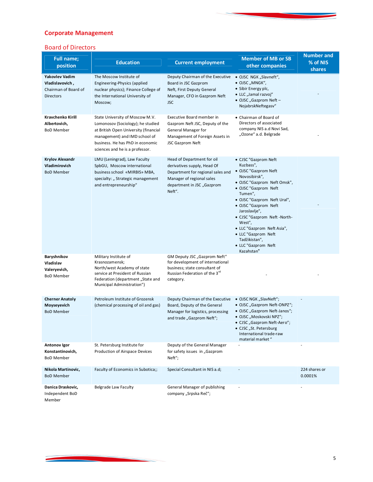# **Corporate Management**

<u> Andrew Marie (1985)</u>

# Board of Directors

| <b>Full name;</b><br>position                                                 | <b>Education</b>                                                                                                                                                                                                      | <b>Current employment</b>                                                                                                                                           | <b>Member of MB or SB</b><br>other companies                                                                                                                                                                                                                                                                                                                              | <b>Number and</b><br>% of NIS<br>shares |
|-------------------------------------------------------------------------------|-----------------------------------------------------------------------------------------------------------------------------------------------------------------------------------------------------------------------|---------------------------------------------------------------------------------------------------------------------------------------------------------------------|---------------------------------------------------------------------------------------------------------------------------------------------------------------------------------------------------------------------------------------------------------------------------------------------------------------------------------------------------------------------------|-----------------------------------------|
| Yakovlev Vadim<br>Vladislavovich,<br>Chairman of Board of<br><b>Directors</b> | The Moscow Institute of<br>Engineering-Physics (applied<br>nuclear physics); Finance College of<br>the International University of<br>Moscow;                                                                         | Deputy Chairman of the Executive<br>Board in JSC Gazprom<br>Neft, First Deputy General<br>Manager, CFO in Gazprom Neft<br><b>JSC</b>                                | · OJSC NGK "Slavneft",<br>• OJSC "MNGK",<br>• Sibir Energy plc,<br>• LLC "Jamal razvoj"<br>• OJSC "Gazprom Neft -<br>NojabrskNeftegasv"                                                                                                                                                                                                                                   |                                         |
| Kravchenko Kirill<br>Albertovich,<br><b>BoD Member</b>                        | State University of Moscow M.V.<br>Lomonosov (Sociology); he studied<br>at British Open University (financial<br>management) and IMD school of<br>business. He has PhD in economic<br>sciences and he is a professor. | Executive Board member in<br>Gazprom Neft JSC, Deputy of the<br>General Manager for<br>Management of Foreign Assets in<br><b>JSC Gazprom Neft</b>                   | • Chairman of Board of<br>Directors of associated<br>company NIS a.d Novi Sad,<br>"Ozone" a.d. Belgrade                                                                                                                                                                                                                                                                   |                                         |
| <b>Krylov Alexandr</b><br>Vladimirovich<br><b>BoD Member</b>                  | LMU (Leningrad), Law Faculty<br>SpbGU, Moscow international<br>business school «MIRBIS» MBA,<br>specialty: "Strategic management<br>and entrepreneurship"                                                             | Head of Department for oil<br>derivatives supply, Head Of<br>Department for regional sales and<br>Manager of regional sales<br>department in JSC "Gazprom<br>Neft". | • CJSC "Gazprom Neft<br>Kuzbass",<br>· OJSC "Gazprom Neft<br>Novosibirsk",<br>· OJSC "Gazprom Neft Omsk",<br>• OJSC "Gazprom Neft<br>Tumen",<br>· OJSC "Gazprom Neft Ural",<br>• OJSC "Gazprom Neft<br>Jaroslavlje",<br>• CJSC "Gazprom Neft -North-<br>West",<br>• LLC "Gazprom Neft Asia",<br>• LLC "Gazprom Neft<br>Tadžikistan",<br>• LLC "Gazprom Neft<br>Kazahstan" |                                         |
| Baryshnikov<br>Vladislav<br>Valeryevich,<br><b>BoD Member</b>                 | Military Institute of<br>Krasnozamensk;<br>North/west Academy of state<br>service at President of Russian<br>Federation (department "State and<br>Municipal Administration")                                          | GM Deputy JSC "Gazprom Neft"<br>for development of international<br>business; state consultant of<br>Russian Federation of the 3 <sup>rd</sup><br>category.         |                                                                                                                                                                                                                                                                                                                                                                           |                                         |
| <b>Cherner Anatoly</b><br>Moyseyevich<br><b>BoD Member</b>                    | Petroleum Institute of Grozensk<br>(chemical processing of oil and gas)                                                                                                                                               | Deputy Chairman of the Executive<br>Board, Deputy of the General<br>Manager for logistics, processing<br>and trade "Gazprom Neft";                                  | • OJSC NGK "SlavNeft";<br>· OJSC "Gazprom Neft-ONPZ";<br>• OJSC "Gazprom Neft-Janos";<br>• OJSC "Moskovski NPZ";<br>· CJSC "Gazprom Neft-Aero";<br>• CJSC "St. Petersburg<br>International trade-raw<br>material market "                                                                                                                                                 |                                         |
| Antonov Igor<br>Konstantinovich,<br><b>BoD Member</b>                         | St. Petersburg Institute for<br>Production of Airspace Devices                                                                                                                                                        | Deputy of the General Manager<br>for safety issues in "Gazprom<br>Neft";                                                                                            |                                                                                                                                                                                                                                                                                                                                                                           |                                         |
| Nikola Martinovic,<br><b>BoD Member</b>                                       | Faculty of Economics in Subotica;;                                                                                                                                                                                    | Special Consultant in NIS a.d;                                                                                                                                      |                                                                                                                                                                                                                                                                                                                                                                           | 224 shares or<br>0.0001%                |
| Danica Draskovic,<br>Independent BoD<br>Member                                | Belgrade Law Faculty                                                                                                                                                                                                  | General Manager of publishing<br>company "Srpska Reč";                                                                                                              |                                                                                                                                                                                                                                                                                                                                                                           |                                         |

<u> Andrew Marian Sta</u>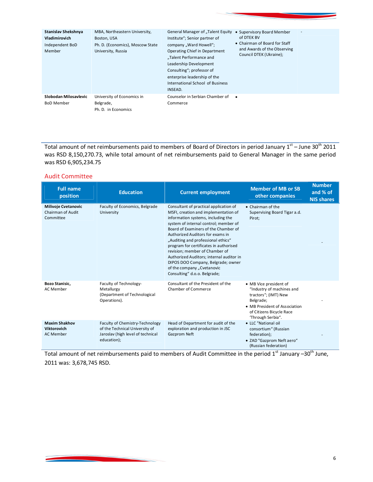| Stanislav Shekshnya<br>Vladimirovich<br>Independent BoD<br>Member | MBA, Northeastern University,<br>Boston, USA<br>Ph. D. (Economics), Moscow State<br>University, Russia | General Manager of "Talent Equity<br>Institute"; Senior partner of<br>company "Ward Howell";<br><b>Operating Chief in Department</b><br>"Talent Performance and<br>Leadership Development<br>Consulting"; professor of<br>enterprise leadership of the<br>International School of Business<br>INSEAD. | • Supervisory Board Member<br>of DTEK BV<br>• Chairman of Board for Staff<br>and Awards of the Observing<br>Council DTEK (Ukraine); |  |
|-------------------------------------------------------------------|--------------------------------------------------------------------------------------------------------|-------------------------------------------------------------------------------------------------------------------------------------------------------------------------------------------------------------------------------------------------------------------------------------------------------|-------------------------------------------------------------------------------------------------------------------------------------|--|
| Slobodan Milosavlevic<br><b>BoD Member</b>                        | University of Economics in<br>Belgrade,<br>Ph. D. in Economics                                         | Counselor in Serbian Chamber of<br>Commerce                                                                                                                                                                                                                                                           |                                                                                                                                     |  |

Total amount of net reimbursements paid to members of Board of Directors in period January  $1^{st}$  – June 30<sup>th</sup> 2011 was RSD 8,150,270.73, while total amount of net reimbursements paid to General Manager in the same period was RSD 6,905,234.75

## Audit Committee

| <b>Full name</b><br>position                                 | <b>Education</b>                                                                                                      | <b>Current employment</b>                                                                                                                                                                                                                                                                                                                                                                                                                                                                                   | <b>Member of MB or SB</b><br>other companies                                                                                                                               | <b>Number</b><br>and % of<br><b>NIS shares</b> |
|--------------------------------------------------------------|-----------------------------------------------------------------------------------------------------------------------|-------------------------------------------------------------------------------------------------------------------------------------------------------------------------------------------------------------------------------------------------------------------------------------------------------------------------------------------------------------------------------------------------------------------------------------------------------------------------------------------------------------|----------------------------------------------------------------------------------------------------------------------------------------------------------------------------|------------------------------------------------|
| Milivoje Cvetanovic<br><b>Chairman of Audit</b><br>Committee | Faculty of Economics, Belgrade<br>University                                                                          | Consultant of practical application of<br>MSFI, creation and implementation of<br>information systems, including the<br>system of internal control; member of<br>Board of Examiners of the Chamber of<br>Authorized Auditors for exams in<br>"Auditing and professional ethics"<br>program for certificates in authorised<br>revision; member of Chamber of<br>Authorized Auditors; internal auditor in<br>DIPOS DOO Company, Belgrade; owner<br>of the company "Cvetanovic<br>Consulting" d.o.o. Belgrade; | • Chairman of the<br>Supervising Board Tigar a.d.<br>Pirot;                                                                                                                |                                                |
| Bozo Stanisic,<br>AC Member                                  | Faculty of Technology-<br>Metallurgy<br>(Department of Technological<br>Operations).                                  | Consultant of the President of the<br><b>Chamber of Commerce</b>                                                                                                                                                                                                                                                                                                                                                                                                                                            | • MB Vice president of<br>"Industry of machines and<br>tractors"; (IMT) New<br>Belgrade;<br>• MB President of Association<br>of Citizens Bicycle Race<br>'Through Serbia". |                                                |
| <b>Maxim Shakhov</b><br>Viktorovich<br><b>AC Member</b>      | Faculty of Chemistry-Technology<br>of the Technical University of<br>Jaroslav (high level of technical<br>education); | Head of Department for audit of the<br>exploration and production in JSC<br>Gazprom Neft                                                                                                                                                                                                                                                                                                                                                                                                                    | • LLC "National oil<br>consortium" (Russian<br>federation);<br>• ZAD "Gazprom Neft aero"<br>(Russian federation)                                                           |                                                |

Total amount of net reimbursements paid to members of Audit Committee in the period 1<sup>st</sup> January -30<sup>th</sup> June, 2011 was: 3,678,745 RSD.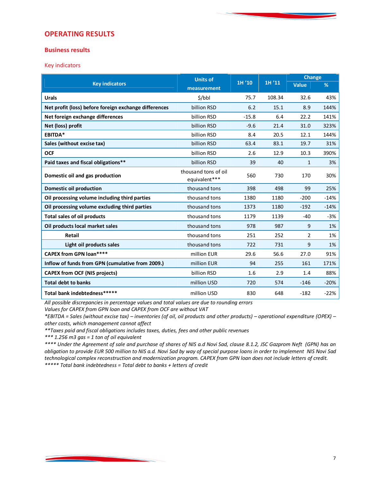# **OPERATING RESULTS**

## **Business results**

Key indicators

|                                                       | <b>Units of</b>                       |         |        | <b>Change</b> |        |
|-------------------------------------------------------|---------------------------------------|---------|--------|---------------|--------|
| <b>Key indicators</b>                                 | measurement                           | 1H '10  | 1H '11 | <b>Value</b>  | %      |
| <b>Urals</b>                                          | \$/bbl                                | 75.7    | 108.34 | 32.6          | 43%    |
| Net profit (loss) before foreign exchange differences | billion RSD                           | 6.2     | 15.1   | 8.9           | 144%   |
| Net foreign exchange differences                      | billion RSD                           | $-15.8$ | 6.4    | 22.2          | 141%   |
| Net (loss) profit                                     | billion RSD                           | $-9.6$  | 21.4   | 31.0          | 323%   |
| EBITDA*                                               | billion RSD                           | 8.4     | 20.5   | 12.1          | 144%   |
| Sales (without excise tax)                            | billion RSD                           | 63.4    | 83.1   | 19.7          | 31%    |
| <b>OCF</b>                                            | billion RSD                           | 2.6     | 12.9   | 10.3          | 390%   |
| Paid taxes and fiscal obligations**                   | billion RSD                           | 39      | 40     | $\mathbf{1}$  | 3%     |
| Domestic oil and gas production                       | thousand tons of oil<br>equivalent*** | 560     | 730    | 170           | 30%    |
| <b>Domestic oil production</b>                        | thousand tons                         | 398     | 498    | 99            | 25%    |
| Oil processing volume including third parties         | thousand tons                         | 1380    | 1180   | $-200$        | $-14%$ |
| Oil processing volume excluding third parties         | thousand tons                         | 1373    | 1180   | $-192$        | $-14%$ |
| <b>Total sales of oil products</b>                    | thousand tons                         | 1179    | 1139   | $-40$         | $-3%$  |
| Oil products local market sales                       | thousand tons                         | 978     | 987    | 9             | 1%     |
| <b>Retail</b>                                         | thousand tons                         | 251     | 252    | 2             | 1%     |
| Light oil products sales                              | thousand tons                         | 722     | 731    | 9             | 1%     |
| <b>CAPEX from GPN loan****</b>                        | million EUR                           | 29.6    | 56.6   | 27.0          | 91%    |
| Inflow of funds from GPN (cumulative from 2009.)      | million EUR                           | 94      | 255    | 161           | 171%   |
| <b>CAPEX from OCF (NIS projects)</b>                  | billion RSD                           | 1.6     | 2.9    | 1.4           | 88%    |
| <b>Total debt to banks</b>                            | million USD                           | 720     | 574    | $-146$        | $-20%$ |
| Total bank indebtedness*****                          | million USD                           | 830     | 648    | $-182$        | $-22%$ |

*All possible discrepancies in percentage values and total values are due to rounding errors* 

*Values for CAPEX from GPN loan and CAPEX from OCF are without VAT*

*\*EBITDA = Sales (without excise tax) – inventories (of oil, oil products and other products) – operational expenditure (OPEX) – other costs, which management cannot affect* 

*\*\*Taxes paid and fiscal obligations includes taxes, duties, fees and other public revenues*

*\*\*\* 1.256 m3 gas = 1 ton of oil equivalent*

*\*\*\*\* Under the Agreement of sale and purchase of shares of NIS a.d Novi Sad, clause 8.1.2, JSC Gazprom Neft (GPN) has an obligation to provide EUR 500 million to NIS a.d. Novi Sad by way of special purpose loans in order to implement NIS Novi Sad technological complex reconstruction and modernization program. CAPEX from GPN loan does not include letters of credit. \*\*\*\*\* Total bank indebtedness = Total debt to banks + letters of credit*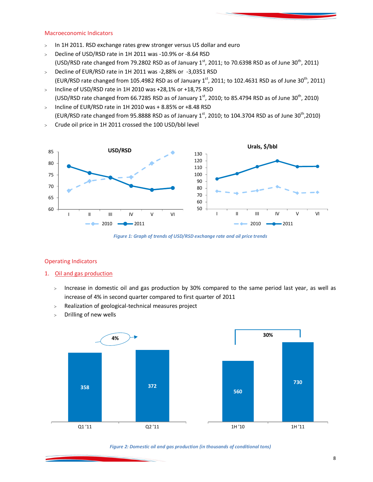#### Macroeconomic Indicators

- $>$  In 1H 2011. RSD exchange rates grew stronger versus US dollar and euro
- > Decline of USD/RSD rate in 1H 2011 was -10.9% or -8.64 RSD (USD/RSD rate changed from 79.2802 RSD as of January  $1<sup>st</sup>$ , 2011; to 70.6398 RSD as of June 30<sup>th</sup>, 2011)
- Decline of EUR/RSD rate in 1H 2011 was -2,88% or -3,0351 RSD (EUR/RSD rate changed from 105.4982 RSD as of January  $1<sup>st</sup>$ , 2011; to 102.4631 RSD as of June 30<sup>th</sup>, 2011)
- $>$  Incline of USD/RSD rate in 1H 2010 was +28,1% or +18,75 RSD (USD/RSD rate changed from 66.7285 RSD as of January  $1<sup>st</sup>$ , 2010; to 85.4794 RSD as of June 30<sup>th</sup>, 2010)
- $>$  Incline of EUR/RSD rate in 1H 2010 was + 8.85% or +8.48 RSD (EUR/RSD rate changed from 95.8888 RSD as of January  $1<sup>st</sup>$ , 2010; to 104.3704 RSD as of June 30<sup>th</sup>,2010)
- Crude oil price in 1H 2011 crossed the 100 USD/bbl level



*Figure 1: Graph of trends of USD/RSD exchange rate and oil price trends*

## Operating Indicators

- 1. Oil and gas production
	- > Increase in domestic oil and gas production by 30% compared to the same period last year, as well as increase of 4% in second quarter compared to first quarter of 2011
	- Realization of geological-technical measures project
	- Drilling of new wells



#### *Figure 2: Domestic oil and gas production (in thousands of conditional tons)*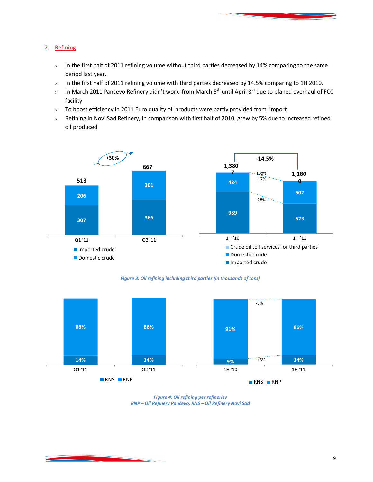# 2. Refining

- $>$  In the first half of 2011 refining volume without third parties decreased by 14% comparing to the same period last year.
- > In the first half of 2011 refining volume with third parties decreased by 14.5% comparing to 1H 2010.
- $>$  In March 2011 Pančevo Refinery didn't work from March 5<sup>th</sup> until April 8<sup>th</sup> due to planed overhaul of FCC facility
- > To boost efficiency in 2011 Euro quality oil products were partly provided from import
- > Refining in Novi Sad Refinery, in comparison with first half of 2010, grew by 5% due to increased refined oil produced



*Figure 3: Oil refining including third parties (in thousands of tons)*



*Figure 4: Oil refining per refineries RNP – Oil Refinery Pančevo, RNS – Oil Refinery Novi Sad*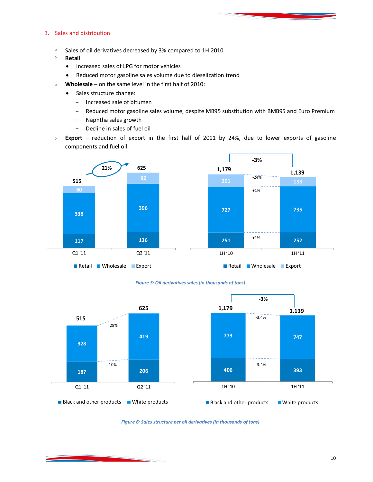## 3. Sales and distribution

- $>$  Sales of oil derivatives decreased by 3% compared to 1H 2010
- **Retail**
	- Increased sales of LPG for motor vehicles
	- Reduced motor gasoline sales volume due to dieselization trend
- **Wholesale** on the same level in the first half of 2010:
	- Sales structure change:
		- − Increased sale of bitumen
		- − Reduced motor gasoline sales volume, despite MB95 substitution with BMB95 and Euro Premium
		- − Naphtha sales growth
		- − Decline in sales of fuel oil
- **Export** reduction of export in the first half of 2011 by 24%, due to lower exports of gasoline components and fuel oil



#### *Figure 5: Oil derivatives sales (in thousands of tons)*



*Figure 6: Sales structure per oil derivatives (in thousands of tons)*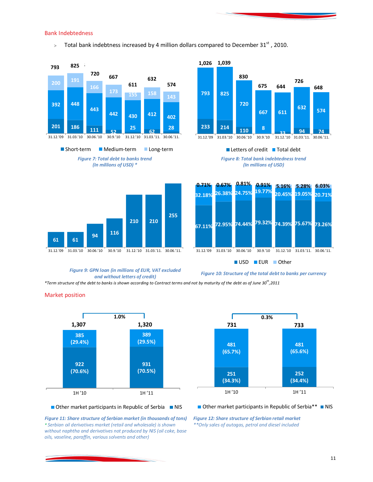#### Bank Indebtedness

Market position

 $>$  Total bank indebtness increased by 4 million dollars compared to December 31st, 2010.







 $\blacksquare$  Letters of credit  $\blacksquare$  Total debt





#### *Figure 9: GPN loan (in millions of EUR, VAT excluded and without letters of credit)*

*Figure 10: Structure of the total debt to banks per currency*

*\*Term structure of the debt to banks is shown according to Contract terms and not by maturity of the debt as of June 30th ,2011*

**922 (70.6%) 931 (70.5%) 385 (29.4%) 389 (29.5%)** 1H '10 1H '11 **1.0% 1,307 1,320**



#### $\blacksquare$  Other market participants in Republic of Serbia  $\blacksquare$  NIS

*Figure 11: Share structure of Serbian market (in thousands of tons) \* Serbian oil derivatives market (retail and wholesale) is shown without naphtha and derivatives not produced by NIS (oil coke, base oils, vaseline, paraffin, various solvents and other)* 

#### $\blacksquare$  Other market participants in Republic of Serbia\*\*  $\blacksquare$  NIS

*Figure 12: Share structure of Serbian retail market \*\*Only sales of autogas, petrol and diesel included*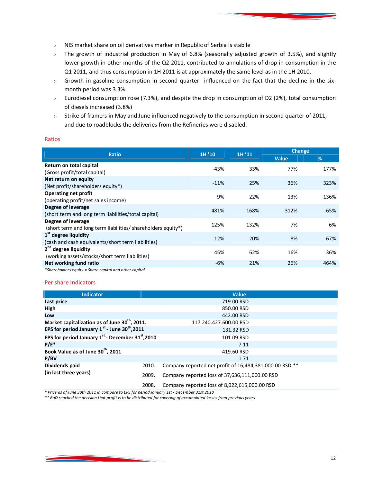- NIS market share on oil derivatives marker in Republic of Serbia is stabile
- $>$  The growth of industrial production in May of 6.8% (seasonally adjusted growth of 3.5%), and slightly lower growth in other months of the Q2 2011, contributed to annulations of drop in consumption in the Q1 2011, and thus consumption in 1H 2011 is at approximately the same level as in the 1H 2010.
- Growth in gasoline consumption in second quarter influenced on the fact that the decline in the sixmonth period was 3.3%
- Eurodiesel consumption rose (7.3%), and despite the drop in consumption of D2 (2%), total consumption of diesels increased (3.8%)
- $>$  Strike of framers in May and June influenced negatively to the consumption in second quarter of 2011, and due to roadblocks the deliveries from the Refineries were disabled.

#### Ratios

| <b>Ratio</b>                                                                           | 1H '10 | 1H'11 | <b>Change</b> |        |
|----------------------------------------------------------------------------------------|--------|-------|---------------|--------|
|                                                                                        |        |       | <b>Value</b>  | %      |
| Return on total capital<br>(Gross profit/total capital)                                | $-43%$ | 33%   | 77%           | 177%   |
| Net return on equity<br>(Net profit/shareholders equity*)                              | $-11%$ | 25%   | 36%           | 323%   |
| <b>Operating net profit</b><br>(operating profit/net sales income)                     | 9%     | 22%   | 13%           | 136%   |
| Degree of leverage<br>(short term and long term liabilities/total capital)             | 481%   | 168%  | $-312%$       | $-65%$ |
| Degree of leverage<br>(short term and long term liabilities/ shareholders equity*)     | 125%   | 132%  | 7%            | 6%     |
| 1 <sup>st</sup> degree liquidity<br>(cash and cash equivalents/short term liabilities) | 12%    | 20%   | 8%            | 67%    |
| 2 <sup>nd</sup> degree liquidity<br>(working assets/stocks/short term liabilities)     | 45%    | 62%   | 16%           | 36%    |
| Net working fund ratio                                                                 | -6%    | 21%   | 26%           | 464%   |

*\*Shareholders equity = Share capital and other capital*

#### Per share Indicators

| <b>Indicator</b>                                               |       | <b>Value</b>                                            |
|----------------------------------------------------------------|-------|---------------------------------------------------------|
| Last price                                                     |       | 719.00 RSD                                              |
| High                                                           |       | 850.00 RSD                                              |
| Low                                                            |       | 442.00 RSD                                              |
| Market capitalization as of June 30 <sup>th</sup> , 2011.      |       | 117.240.427.600.00 RSD                                  |
| EPS for period January $1^{st}$ - June 30 <sup>th</sup> , 2011 |       | 131.32 RSD                                              |
| EPS for period January $1^{st}$ - December 31 $^{st}$ , 2010   |       | 101.09 RSD                                              |
| $P/E^*$                                                        |       | 7.11                                                    |
| Book Value as of June 30th, 2011                               |       | 419.60 RSD                                              |
| P/BV                                                           |       | 1.71                                                    |
| Dividends paid<br>2010.                                        |       | Company reported net profit of 16,484,381,000.00 RSD.** |
| (in last three years)<br>2009.                                 |       | Company reported loss of 37,636,111,000.00 RSD          |
|                                                                | 2008. | Company reported loss of 8,022,615,000.00 RSD           |

*\* Price as of June 30th 2011 in compare to EPS for period January 1st - December 31st 2010*

*\*\* BoD reached the decision that profit is to be distributed for covering of accumulated losses from previous years*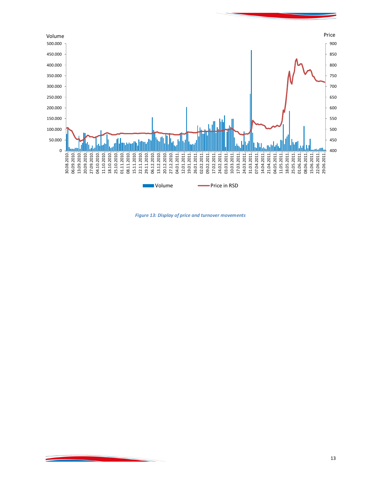

*Figure 13: Display of price and turnover movements*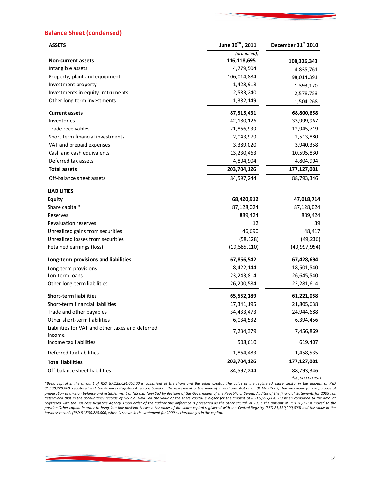## **Balance Sheet (condensed)**

<u> Angels (1985), angels (1986)</u>

| <b>ASSETS</b>                                              | June 30th, 2011 | December 31 <sup>st</sup> 2010 |
|------------------------------------------------------------|-----------------|--------------------------------|
|                                                            | (unaudited))    |                                |
| <b>Non-current assets</b>                                  | 116,118,695     | 108,326,343                    |
| Intangible assets                                          | 4,779,504       | 4,835,761                      |
| Property, plant and equipment                              | 106,014,884     | 98,014,391                     |
| Investment property                                        | 1,428,918       | 1,393,170                      |
| Investments in equity instruments                          | 2,583,240       | 2,578,753                      |
| Other long term investments                                | 1,382,149       | 1,504,268                      |
| <b>Current assets</b>                                      | 87,515,431      | 68,800,658                     |
| Inventories                                                | 42,180,126      | 33,999,967                     |
| Trade receivables                                          | 21,866,939      | 12,945,719                     |
| Short term financial investments                           | 2,043,979       | 2,513,880                      |
| VAT and prepaid expenses                                   | 3,389,020       | 3,940,358                      |
| Cash and cash equivalents                                  | 13,230,463      | 10,595,830                     |
| Deferred tax assets                                        | 4,804,904       | 4,804,904                      |
| <b>Total assets</b>                                        | 203,704,126     | 177,127,001                    |
| Off-balance sheet assets                                   | 84,597,244      | 88,793,346                     |
| <b>LIABILITIES</b>                                         |                 |                                |
| <b>Equity</b>                                              | 68,420,912      | 47,018,714                     |
| Share capital*                                             | 87,128,024      | 87,128,024                     |
| Reserves                                                   | 889,424         | 889,424                        |
| Revaluation reserves                                       | 12              | 39                             |
| Unrealized gains from securities                           | 46,690          | 48,417                         |
| Unrealized losses from securities                          | (58, 128)       | (49, 236)                      |
| Retained earnings (loss)                                   | (19, 585, 110)  | (40, 997, 954)                 |
| Long-term provisions and liabilities                       | 67,866,542      | 67,428,694                     |
| Long-term provisions                                       | 18,422,144      | 18,501,540                     |
| Lon-term loans                                             | 23, 243, 814    | 26,645,540                     |
| Other long-term liabilities                                | 26,200,584      | 22,281,614                     |
| <b>Short-term liabilities</b>                              | 65,552,189      | 61,221,058                     |
| Short-term financial liabilities                           | 17,341,195      | 21,805,638                     |
| Trade and other payables                                   | 34,433,473      | 24,944,688                     |
| Other short-term liabilities                               | 6,034,532       | 6,394,456                      |
| Liabilities for VAT and other taxes and deferred<br>income | 7,234,379       | 7,456,869                      |
| Income tax liabilities                                     | 508,610         | 619,407                        |
| Deferred tax liabilities                                   | 1,864,483       | 1,458,535                      |
| <b>Total liabilities</b>                                   | 203,704,126     | 177,127,001                    |
| Off-balance sheet liabilities                              | 84,597,244      | 88,793,346                     |

*\*Basic capital in the amount of RSD 87,128,024,000.00 is comprised of the share and the other capital. The value of the registered share capital in the amount of RSD 81,530,220,000, registered with the Business Registers Agency is based on the assessment of the value of in kind contribution on 31 May 2005, that was made for the purpose of preparation of division balance and establishment of NIS a.d. Novi Sad by decision of the Government of the Republic of Serbia. Auditor of the financial statements for 2005 has*  determined that in the accountancy records of NIS a.d. Novi Sad the value of the share capital is higher for the amount of RSD 5,597,804,000 when compared to the amount *registered with the Business Registers Agency. Upon order of the auditor this difference is presented as the other capital. In 2009, the amount of RSD 20,000 is moved to the position Other capital in order to bring into line position between the value of the share capital registered with the Central Registry (RSD 81,530,200,000) and the value in the business records (RSD 81,530,220,000) which is shown in the statement for 2009 as the changes in the capital.*

*\*in ,000.00 RSD*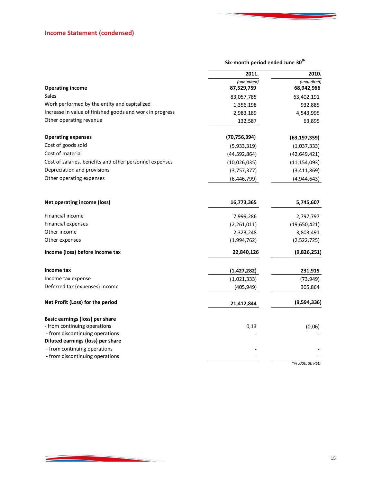<u> Andrew Maria (1985)</u>

|                                                          | Six-month period ended June 30 <sup>th</sup> |                 |
|----------------------------------------------------------|----------------------------------------------|-----------------|
|                                                          | 2011.                                        | 2010.           |
|                                                          | (unaudited)                                  | (unaudited)     |
| <b>Operating income</b>                                  | 87,529,759                                   | 68,942,966      |
| <b>Sales</b>                                             | 83,057,785                                   | 63,402,191      |
| Work performed by the entity and capitalized             | 1,356,198                                    | 932,885         |
| Increase in value of finished goods and work in progress | 2,983,189                                    | 4,543,995       |
| Other operating revenue                                  | 132,587                                      | 63,895          |
| <b>Operating expenses</b>                                | (70, 756, 394)                               | (63, 197, 359)  |
| Cost of goods sold                                       | (5,933,319)                                  | (1,037,333)     |
| Cost of material                                         | (44, 592, 864)                               | (42, 649, 421)  |
| Cost of salaries, benefits and other personnel expenses  | (10,026,035)                                 | (11, 154, 093)  |
| Depreciation and provisions                              | (3,757,377)                                  | (3,411,869)     |
| Other operating expenses                                 | (6, 446, 799)                                | (4,944,643)     |
| Net operating income (loss)                              | 16,773,365                                   | 5,745,607       |
| Financial income                                         | 7,999,286                                    | 2,797,797       |
| Financial expenses                                       | (2,261,011)                                  | (19,650,421)    |
| Other income                                             | 2,323,248                                    | 3,803,491       |
| Other expenses                                           | (1,994,762)                                  | (2,522,725)     |
| Income (loss) before income tax                          | 22,840,126                                   | (9,826,251)     |
| Income tax                                               | (1, 427, 282)                                | 231,915         |
| Income tax expense                                       | (1,021,333)                                  | (73, 949)       |
| Deferred tax (expenses) income                           | (405, 949)                                   | 305,864         |
| Net Profit (Loss) for the period                         | 21,412,844                                   | (9,594,336)     |
| Basic earnings (loss) per share                          |                                              |                 |
| - from continuing operations                             | 0,13                                         | (0,06)          |
| - from discontinuing operations                          |                                              |                 |
| Diluted earnings (loss) per share                        |                                              |                 |
| - from continuing operations                             |                                              |                 |
| - from discontinuing operations                          |                                              | *in ,000.00 RSD |
|                                                          |                                              |                 |

**Contract Contract Contract**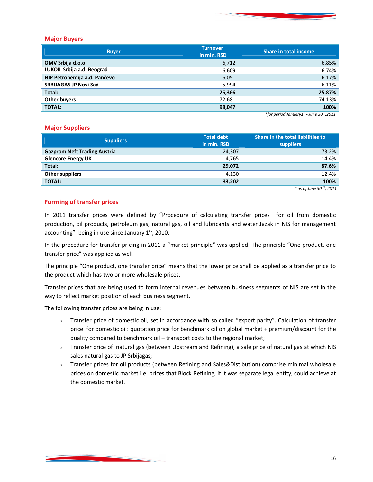#### **Major Buyers**

| <b>Buyer</b>                 | <b>Turnover</b><br>in mln. RSD | <b>Share in total income</b>     |
|------------------------------|--------------------------------|----------------------------------|
| OMV Srbija d.o.o             | 6,712                          | 6.85%                            |
| LUKOIL Srbija a.d. Beograd   | 6,609                          | 6.74%                            |
| HIP Petrohemija a.d. Pančevo | 6,051                          | 6.17%                            |
| <b>SRBIJAGAS JP Novi Sad</b> | 5,994                          | 6.11%                            |
| Total:                       | 25,366                         | 25.87%                           |
| Other buyers                 | 72,681                         | 74.13%                           |
| <b>TOTAL:</b>                | 98,047                         | 100%<br>$\overline{\phantom{a}}$ |

*\*for period January1st. - June 30th ,2011.*

## **Major Suppliers**

| <b>Suppliers</b>                    | <b>Total debt</b><br>in mln. RSD | Share in the total liabilities to<br>suppliers |  |
|-------------------------------------|----------------------------------|------------------------------------------------|--|
| <b>Gazprom Neft Trading Austria</b> | 24,307                           | 73.2%                                          |  |
| <b>Glencore Energy UK</b>           | 4,765                            | 14.4%                                          |  |
| Total:                              | 29.072                           | 87.6%                                          |  |
| Other suppliers                     | 4,130                            | 12.4%                                          |  |
| <b>TOTAL:</b>                       | 33,202                           | 100%                                           |  |
|                                     |                                  | $th$ $\sim$                                    |  |

*\* as of June 30 th , 2011* 

## **Forming of transfer prices**

In 2011 transfer prices were defined by "Procedure of calculating transfer prices for oil from domestic production, oil products, petroleum gas, natural gas, oil and lubricants and water Jazak in NIS for management accounting" being in use since January  $1<sup>st</sup>$ , 2010.

In the procedure for transfer pricing in 2011 a "market principle" was applied. The principle "One product, one transfer price" was applied as well.

The principle "One product, one transfer price" means that the lower price shall be applied as a transfer price to the product which has two or more wholesale prices.

Transfer prices that are being used to form internal revenues between business segments of NIS are set in the way to reflect market position of each business segment.

The following transfer prices are being in use:

- > Transfer price of domestic oil, set in accordance with so called "export parity". Calculation of transfer price for domestic oil: quotation price for benchmark oil on global market + premium/discount for the quality compared to benchmark oil – transport costs to the regional market;
- Transfer price of natural gas (between Upstream and Refining), a sale price of natural gas at which NIS sales natural gas to JP Srbijagas;
- Transfer prices for oil products (between Refining and Sales&Distibution) comprise minimal wholesale prices on domestic market i.e. prices that Block Refining, if it was separate legal entity, could achieve at the domestic market.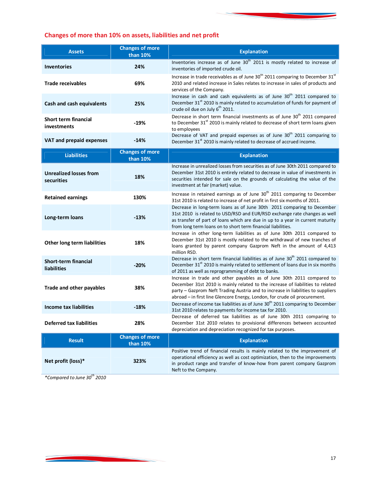# **Changes of more than 10% on assets, liabilities and net profit**

| <b>Assets</b>                       | <b>Changes of more</b><br>than 10% | <b>Explanation</b>                                                                                                                                                                                                            |
|-------------------------------------|------------------------------------|-------------------------------------------------------------------------------------------------------------------------------------------------------------------------------------------------------------------------------|
| <b>Inventories</b>                  | 24%                                | Inventories increase as of June 30 <sup>th</sup> 2011 is mostly related to increase of<br>inventories of imported crude oil.                                                                                                  |
| <b>Trade receivables</b>            | 69%                                | Increase in trade receivables as of June 30 <sup>th</sup> 2011 comparing to December 31 <sup>st</sup><br>2010 and related increase in Sales relates to increase in sales of products and<br>services of the Company.          |
| Cash and cash equivalents           | 25%                                | Increase in cash and cash equivalents as of June 30 <sup>th</sup> 2011 compared to<br>December 31 <sup>st</sup> 2010 is mainly related to accumulation of funds for payment of<br>crude oil due on July 6 <sup>th</sup> 2011. |
| Short term financial<br>investments | $-19%$                             | Decrease in short term financial investments as of June 30 <sup>th</sup> 2011 compared<br>to December 31 <sup>st</sup> 2010 is mainly related to decrease of short term loans given<br>to employees                           |
| VAT and prepaid expenses            | $-14%$                             | Decrease of VAT and prepaid expenses as of June 30 <sup>th</sup> 2011 comparing to<br>December 31 <sup>st</sup> 2010 is mainly related to decrease of accrued income.                                                         |

| <b>Liabilities</b>                                | <b>Changes of more</b><br>than 10% | <b>Explanation</b>                                                                                                                                                                                                                                                                                                        |
|---------------------------------------------------|------------------------------------|---------------------------------------------------------------------------------------------------------------------------------------------------------------------------------------------------------------------------------------------------------------------------------------------------------------------------|
| <b>Unrealized losses from</b><br>securities       | 18%                                | Increase in unrealized losses from securities as of June 30th 2011 compared to<br>December 31st 2010 is entirely related to decrease in value of investments in<br>securities intended for sale on the grounds of calculating the value of the<br>investment at fair (market) value.                                      |
| <b>Retained earnings</b>                          | 130%                               | Increase in retained earnings as of June 30 <sup>th</sup> 2011 comparing to December<br>31st 2010 is related to increase of net profit in first six months of 2011.                                                                                                                                                       |
| Long-term loans                                   | $-13%$                             | Decrease in long-term loans as of June 30th 2011 comparing to December<br>31st 2010 is related to USD/RSD and EUR/RSD exchange rate changes as well<br>as transfer of part of loans which are due in up to a year in current maturity<br>from long term loans on to short term financial liabilities.                     |
| Other long term liabilities                       | 18%                                | Increase in other long-term liabilities as of June 30th 2011 compared to<br>December 31st 2010 is mostly related to the withdrawal of new tranches of<br>loans granted by parent company Gazprom Neft in the amount of 4,413<br>million RSD.                                                                              |
| <b>Short-term financial</b><br><b>liabilities</b> | $-20%$                             | Decrease in short term financial liabilities as of June 30 <sup>th</sup> 2011 compared to<br>December 31 <sup>st</sup> 2010 is mainly related to settlement of loans due in six months<br>of 2011 as well as reprogramming of debt to banks.                                                                              |
| <b>Trade and other payables</b>                   | 38%                                | Increase in trade and other payables as of June 30th 2011 compared to<br>December 31st 2010 is mainly related to the increase of liabilities to related<br>party - Gazprom Neft Trading Austria and to increase in liabilities to suppliers<br>abroad - in first line Glencore Energy, London, for crude oil procurement. |
| Income tax liabilities                            | $-18%$                             | Decrease of income tax liabilities as of June 30 <sup>th</sup> 2011 comparing to December<br>31st 2010 relates to payments for income tax for 2010.                                                                                                                                                                       |
| <b>Deferred tax liabilities</b>                   | 28%                                | Decrease of deferred tax liabilities as of June 30th 2011 comparing to<br>December 31st 2010 relates to provisional differences between accounted<br>depreciation and depreciation recognized for tax purposes.                                                                                                           |
| <b>Result</b>                                     | <b>Changes of more</b><br>than 10% | <b>Explanation</b>                                                                                                                                                                                                                                                                                                        |
| Net profit (loss)*                                | 323%                               | Positive trend of financial results is mainly related to the improvement of<br>operational efficiency as well as cost optimization, then to the improvements<br>in product range and transfer of know-how from parent company Gazprom                                                                                     |

Neft to the Company.

*\*Compared to June 30th 2010*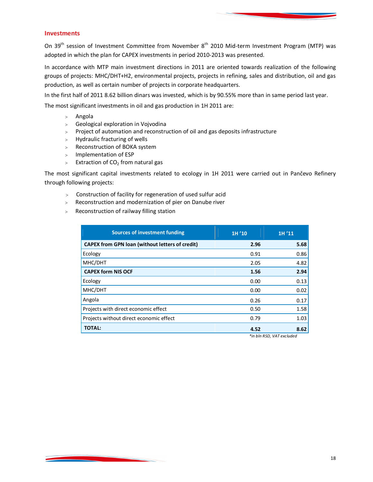## **Investments**

On 39<sup>th</sup> session of Investment Committee from November 8<sup>th</sup> 2010 Mid-term Investment Program (MTP) was adopted in which the plan for CAPEX investments in period 2010-2013 was presented.

In accordance with MTP main investment directions in 2011 are oriented towards realization of the following groups of projects: MHC/DHT+H2, environmental projects, projects in refining, sales and distribution, oil and gas production, as well as certain number of projects in corporate headquarters.

In the first half of 2011 8.62 billion dinars was invested, which is by 90.55% more than in same period last year.

The most significant investments in oil and gas production in 1H 2011 are:

- Angola
- Geological exploration in Vojvodina
- Project of automation and reconstruction of oil and gas deposits infrastructure
- $>$  Hydraulic fracturing of wells
- Reconstruction of BOKA system
- > Implementation of ESP
- $\geq$  Extraction of CO<sub>2</sub> from natural gas

The most significant capital investments related to ecology in 1H 2011 were carried out in Pančevo Refinery through following projects:

- Construction of facility for regeneration of used sulfur acid
- Reconstruction and modernization of pier on Danube river
- Reconstruction of railway filling station

| <b>Sources of investment funding</b>                   | 1H'10 | 1H'11 |
|--------------------------------------------------------|-------|-------|
| <b>CAPEX from GPN loan (without letters of credit)</b> | 2.96  | 5.68  |
| Ecology                                                | 0.91  | 0.86  |
| MHC/DHT                                                | 2.05  | 4.82  |
| <b>CAPEX form NIS OCF</b>                              | 1.56  | 2.94  |
| Ecology                                                | 0.00  | 0.13  |
| MHC/DHT                                                | 0.00  | 0.02  |
| Angola                                                 | 0.26  | 0.17  |
| Projects with direct economic effect                   | 0.50  | 1.58  |
| Projects without direct economic effect                | 0.79  | 1.03  |
| <b>TOTAL:</b>                                          | 4.52  | 8.62  |

*\*in bln RSD, VAT excluded*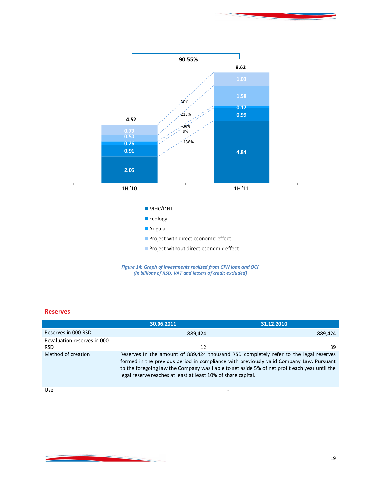



# **Reserves**

|                                           | 30.06.2011                                                    | 31.12.2010                                                                                                                                                                                                                                                                        |
|-------------------------------------------|---------------------------------------------------------------|-----------------------------------------------------------------------------------------------------------------------------------------------------------------------------------------------------------------------------------------------------------------------------------|
| Reserves in 000 RSD                       | 889.424                                                       | 889,424                                                                                                                                                                                                                                                                           |
| Revaluation reserves in 000<br><b>RSD</b> | 12                                                            | 39                                                                                                                                                                                                                                                                                |
| Method of creation                        | legal reserve reaches at least at least 10% of share capital. | Reserves in the amount of 889,424 thousand RSD completely refer to the legal reserves<br>formed in the previous period in compliance with previously valid Company Law. Pursuant<br>to the foregoing law the Company was liable to set aside 5% of net profit each year until the |
| Use                                       |                                                               |                                                                                                                                                                                                                                                                                   |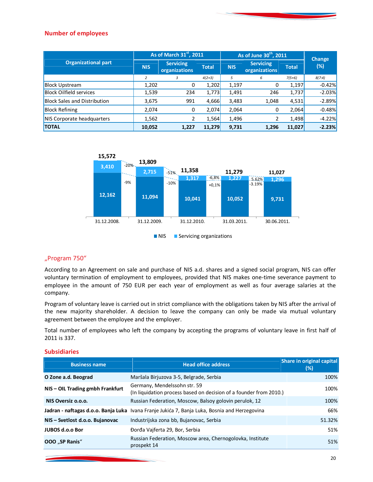## **Number of employees**

|                                     | As of March 31st, 2011 |                                   |              | As of June 30 <sup>th</sup> , 2011 |                                   |              | <b>Change</b> |
|-------------------------------------|------------------------|-----------------------------------|--------------|------------------------------------|-----------------------------------|--------------|---------------|
| <b>Organizational part</b>          | <b>NIS</b>             | <b>Servicing</b><br>organizations | <b>Total</b> | <b>NIS</b>                         | <b>Servicing</b><br>organizations | <b>Total</b> | (%)           |
|                                     | 2                      | 3                                 | $4(2+3)$     | 5                                  | 6                                 | $7(5+6)$     | 8(7:4)        |
| <b>Block Upstream</b>               | 1,202                  | 0                                 | 1,202        | 1,197                              | 0                                 | 1,197        | $-0.42%$      |
| <b>Block Oilfield services</b>      | 1,539                  | 234                               | 1,773        | 1,491                              | 246                               | 1,737        | $-2.03%$      |
| <b>Block Sales and Distribution</b> | 3,675                  | 991                               | 4,666        | 3,483                              | 1,048                             | 4,531        | $-2.89%$      |
| <b>Block Refining</b>               | 2.074                  | 0                                 | 2,074        | 2,064                              | 0                                 | 2,064        | $-0.48%$      |
| NIS Corporate headquarters          | 1,562                  | 2                                 | 1,564        | 1,496                              | 2                                 | 1,498        | $-4.22%$      |
| <b>TOTAL</b>                        | 10,052                 | 1,227                             | 11,279       | 9,731                              | 1,296                             | 11,027       | $-2.23%$      |



## "Program 750"

According to an Agreement on sale and purchase of NIS a.d. shares and a signed social program, NIS can offer voluntary termination of employment to employees, provided that NIS makes one-time severance payment to employee in the amount of 750 EUR per each year of employment as well as four average salaries at the company.

Program of voluntary leave is carried out in strict compliance with the obligations taken by NIS after the arrival of the new majority shareholder. A decision to leave the company can only be made via mutual voluntary agreement between the employee and the employer.

Total number of employees who left the company by accepting the programs of voluntary leave in first half of 2011 is 337.

## **Subsidiaries**

| <b>Business name</b>             | <b>Head office address</b>                                                                         | Share in original capital<br>(%) |
|----------------------------------|----------------------------------------------------------------------------------------------------|----------------------------------|
| O Zone a.d. Beograd              | Maršala Birjuzova 3-5, Belgrade, Serbia                                                            | 100%                             |
| NIS - OIL Trading gmbh Frankfurt | Germany, Mendelssohn str. 59<br>(In liquidation process based on decision of a founder from 2010.) | 100%                             |
| NIS Oversiz o.o.o.               | Russian Federation, Moscow, Balsoy golovin perulok, 12                                             | 100%                             |
|                                  | Jadran - naftagas d.o.o. Banja Luka Ivana Franje Jukića 7, Banja Luka, Bosnia and Herzegovina      | 66%                              |
| NIS - Svetlost d.o.o. Bujanovac  | Industrijska zona bb, Bujanovac, Serbia                                                            | 51.32%                           |
| JUBOS d.o.o Bor                  | Đorđa Vajferta 29, Bor, Serbia                                                                     | 51%                              |
| OOO "SP Ranis"                   | Russian Federation, Moscow area, Chernogolovka, Institute<br>prospekt 14                           | 51%                              |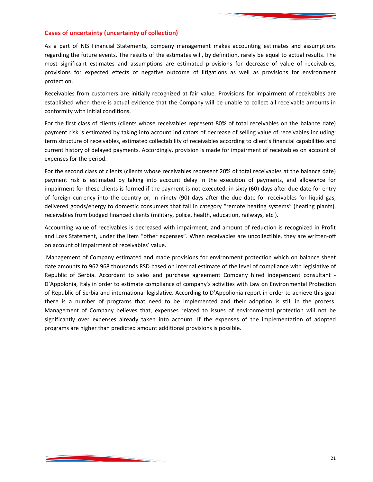## **Cases of uncertainty (uncertainty of collection)**

As a part of NIS Financial Statements, company management makes accounting estimates and assumptions regarding the future events. The results of the estimates will, by definition, rarely be equal to actual results. The most significant estimates and assumptions are estimated provisions for decrease of value of receivables, provisions for expected effects of negative outcome of litigations as well as provisions for environment protection.

Receivables from customers are initially recognized at fair value. Provisions for impairment of receivables are established when there is actual evidence that the Company will be unable to collect all receivable amounts in conformity with initial conditions.

For the first class of clients (clients whose receivables represent 80% of total receivables on the balance date) payment risk is estimated by taking into account indicators of decrease of selling value of receivables including: term structure of receivables, estimated collectability of receivables according to client's financial capabilities and current history of delayed payments. Accordingly, provision is made for impairment of receivables on account of expenses for the period.

For the second class of clients (clients whose receivables represent 20% of total receivables at the balance date) payment risk is estimated by taking into account delay in the execution of payments, and allowance for impairment for these clients is formed if the payment is not executed: in sixty (60) days after due date for entry of foreign currency into the country or, in ninety (90) days after the due date for receivables for liquid gas, delivered goods/energy to domestic consumers that fall in category "remote heating systems" (heating plants), receivables from budged financed clients (military, police, health, education, railways, etc.).

Accounting value of receivables is decreased with impairment, and amount of reduction is recognized in Profit and Loss Statement, under the item "other expenses". When receivables are uncollectible, they are written-off on account of impairment of receivables' value.

Management of Company estimated and made provisions for environment protection which on balance sheet date amounts to 962.968 thousands RSD based on internal estimate of the level of compliance with legislative of Republic of Serbia. Accordant to sales and purchase agreement Company hired independent consultant - D'Appolonia, Italy in order to estimate compliance of company's activities with Law on Environmental Protection of Republic of Serbia and international legislative. According to D'Appolionia report in order to achieve this goal there is a number of programs that need to be implemented and their adoption is still in the process. Management of Company believes that, expenses related to issues of environmental protection will not be significantly over expenses already taken into account. If the expenses of the implementation of adopted programs are higher than predicted amount additional provisions is possible.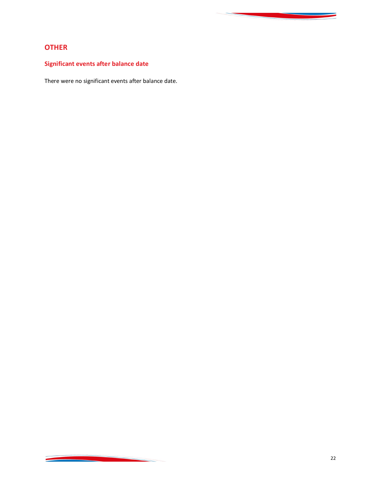# **OTHER**

# **Significant events after balance date**

<u> Andrew Maria (1986)</u>

There were no significant events after balance date.

**Contract Contract Contract**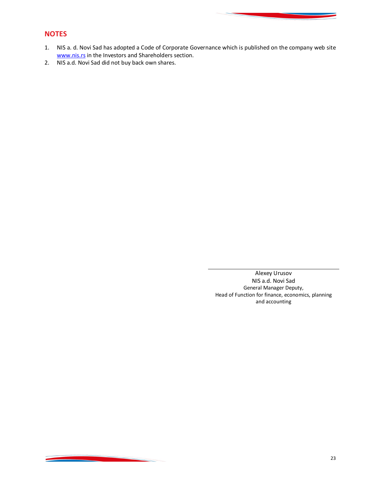# **NOTES**

<u> Antonio de A</u>

- 1. NIS a. d. Novi Sad has adopted a Code of Corporate Governance which is published on the company web site www.nis.rs in the Investors and Shareholders section.
- 2. NIS a.d. Novi Sad did not buy back own shares.

Alexey Urusov NIS a.d. Novi Sad General Manager Deputy, Head of Function for finance, economics, planning and accounting